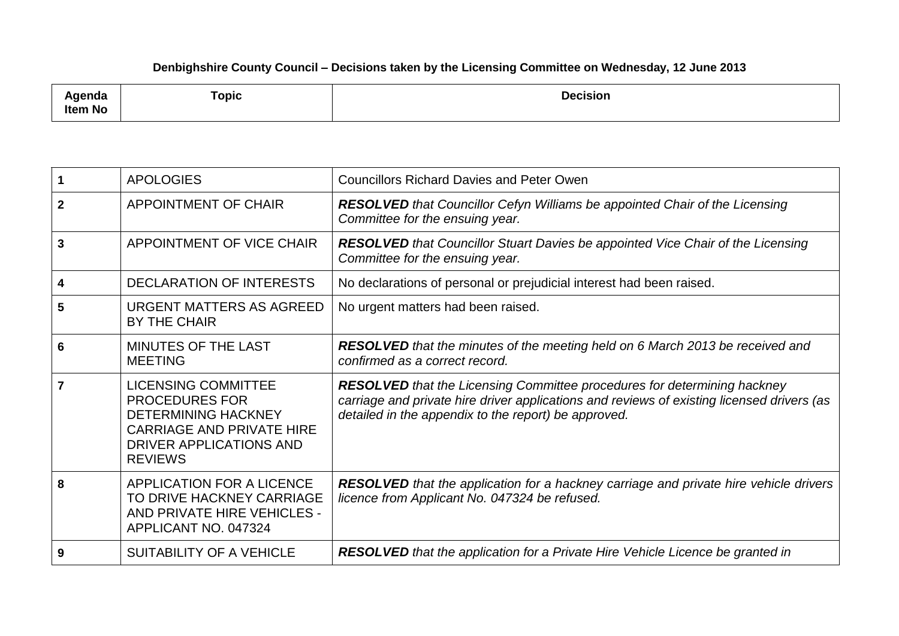## **Denbighshire County Council – Decisions taken by the Licensing Committee on Wednesday, 12 June 2013**

| ∖genda<br>Item No | <b>Topic</b> | <b>Decision</b><br>. |
|-------------------|--------------|----------------------|
|                   |              |                      |

| 1           | <b>APOLOGIES</b>                                                                                                                                                   | <b>Councillors Richard Davies and Peter Owen</b>                                                                                                                                                                                      |  |  |
|-------------|--------------------------------------------------------------------------------------------------------------------------------------------------------------------|---------------------------------------------------------------------------------------------------------------------------------------------------------------------------------------------------------------------------------------|--|--|
| $\mathbf 2$ | <b>APPOINTMENT OF CHAIR</b>                                                                                                                                        | <b>RESOLVED</b> that Councillor Cefyn Williams be appointed Chair of the Licensing<br>Committee for the ensuing year.                                                                                                                 |  |  |
| 3           | APPOINTMENT OF VICE CHAIR                                                                                                                                          | <b>RESOLVED</b> that Councillor Stuart Davies be appointed Vice Chair of the Licensing<br>Committee for the ensuing year.                                                                                                             |  |  |
| 4           | <b>DECLARATION OF INTERESTS</b>                                                                                                                                    | No declarations of personal or prejudicial interest had been raised.                                                                                                                                                                  |  |  |
| 5           | <b>URGENT MATTERS AS AGREED</b><br><b>BY THE CHAIR</b>                                                                                                             | No urgent matters had been raised.                                                                                                                                                                                                    |  |  |
| 6           | MINUTES OF THE LAST<br><b>MEETING</b>                                                                                                                              | <b>RESOLVED</b> that the minutes of the meeting held on 6 March 2013 be received and<br>confirmed as a correct record.                                                                                                                |  |  |
|             | <b>LICENSING COMMITTEE</b><br><b>PROCEDURES FOR</b><br><b>DETERMINING HACKNEY</b><br><b>CARRIAGE AND PRIVATE HIRE</b><br>DRIVER APPLICATIONS AND<br><b>REVIEWS</b> | <b>RESOLVED</b> that the Licensing Committee procedures for determining hackney<br>carriage and private hire driver applications and reviews of existing licensed drivers (as<br>detailed in the appendix to the report) be approved. |  |  |
| 8           | APPLICATION FOR A LICENCE<br>TO DRIVE HACKNEY CARRIAGE<br>AND PRIVATE HIRE VEHICLES -<br>APPLICANT NO. 047324                                                      | <b>RESOLVED</b> that the application for a hackney carriage and private hire vehicle drivers<br>licence from Applicant No. 047324 be refused.                                                                                         |  |  |
| 9           | <b>SUITABILITY OF A VEHICLE</b>                                                                                                                                    | <b>RESOLVED</b> that the application for a Private Hire Vehicle Licence be granted in                                                                                                                                                 |  |  |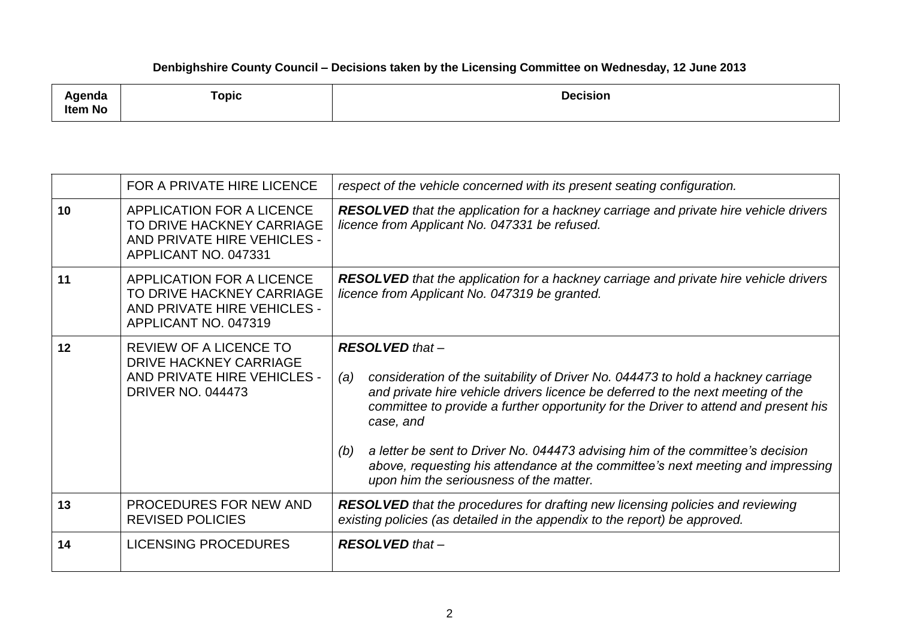## **Denbighshire County Council – Decisions taken by the Licensing Committee on Wednesday, 12 June 2013**

| ⊺opic<br><b>Decision</b><br><b>\qenda</b><br>Item No |  |
|------------------------------------------------------|--|
|------------------------------------------------------|--|

|    | FOR A PRIVATE HIRE LICENCE                                                                                         | respect of the vehicle concerned with its present seating configuration.                                                                                                                                                                                                                                                                                                                                                                                                                                                        |  |  |
|----|--------------------------------------------------------------------------------------------------------------------|---------------------------------------------------------------------------------------------------------------------------------------------------------------------------------------------------------------------------------------------------------------------------------------------------------------------------------------------------------------------------------------------------------------------------------------------------------------------------------------------------------------------------------|--|--|
| 10 | APPLICATION FOR A LICENCE<br>TO DRIVE HACKNEY CARRIAGE<br>AND PRIVATE HIRE VEHICLES -<br>APPLICANT NO. 047331      | <b>RESOLVED</b> that the application for a hackney carriage and private hire vehicle drivers<br>licence from Applicant No. 047331 be refused.                                                                                                                                                                                                                                                                                                                                                                                   |  |  |
| 11 | APPLICATION FOR A LICENCE<br>TO DRIVE HACKNEY CARRIAGE<br>AND PRIVATE HIRE VEHICLES -<br>APPLICANT NO. 047319      | <b>RESOLVED</b> that the application for a hackney carriage and private hire vehicle drivers<br>licence from Applicant No. 047319 be granted.                                                                                                                                                                                                                                                                                                                                                                                   |  |  |
| 12 | <b>REVIEW OF A LICENCE TO</b><br>DRIVE HACKNEY CARRIAGE<br>AND PRIVATE HIRE VEHICLES -<br><b>DRIVER NO. 044473</b> | <b>RESOLVED</b> that -<br>consideration of the suitability of Driver No. 044473 to hold a hackney carriage<br>(a)<br>and private hire vehicle drivers licence be deferred to the next meeting of the<br>committee to provide a further opportunity for the Driver to attend and present his<br>case, and<br>a letter be sent to Driver No. 044473 advising him of the committee's decision<br>(b)<br>above, requesting his attendance at the committee's next meeting and impressing<br>upon him the seriousness of the matter. |  |  |
| 13 | <b>PROCEDURES FOR NEW AND</b><br><b>REVISED POLICIES</b>                                                           | <b>RESOLVED</b> that the procedures for drafting new licensing policies and reviewing<br>existing policies (as detailed in the appendix to the report) be approved.                                                                                                                                                                                                                                                                                                                                                             |  |  |
| 14 | LICENSING PROCEDURES                                                                                               | <b>RESOLVED</b> that -                                                                                                                                                                                                                                                                                                                                                                                                                                                                                                          |  |  |